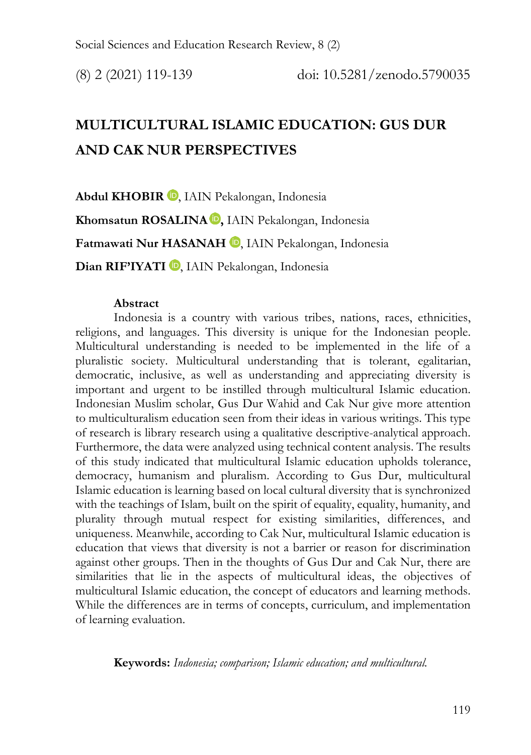# **MULTICULTURAL ISLAMIC EDUCATION: GUS DUR AND CAK NUR PERSPECTIVES**

Abdul KHOBIR<sup>D</sup>[,](https://orcid.org/0000-0001-9589-2395) IAIN Pekalongan, Indonesia **Khomsatun ROSALINA ,** IAIN Pekalongan, Indonesia Fatmawati Nur HASANAH<sup>O</sup>[,](https://orcid.org/0000-0003-2296-9325) IAIN Pekalongan, Indonesia Dian RIF'IYATI<sup>D</sup>[,](https://orcid.org/0000-0003-2050-8736) IAIN Pekalongan, Indonesia

#### **Abstract**

Indonesia is a country with various tribes, nations, races, ethnicities, religions, and languages. This diversity is unique for the Indonesian people. Multicultural understanding is needed to be implemented in the life of a pluralistic society. Multicultural understanding that is tolerant, egalitarian, democratic, inclusive, as well as understanding and appreciating diversity is important and urgent to be instilled through multicultural Islamic education. Indonesian Muslim scholar, Gus Dur Wahid and Cak Nur give more attention to multiculturalism education seen from their ideas in various writings. This type of research is library research using a qualitative descriptive-analytical approach. Furthermore, the data were analyzed using technical content analysis. The results of this study indicated that multicultural Islamic education upholds tolerance, democracy, humanism and pluralism. According to Gus Dur, multicultural Islamic education is learning based on local cultural diversity that is synchronized with the teachings of Islam, built on the spirit of equality, equality, humanity, and plurality through mutual respect for existing similarities, differences, and uniqueness. Meanwhile, according to Cak Nur, multicultural Islamic education is education that views that diversity is not a barrier or reason for discrimination against other groups. Then in the thoughts of Gus Dur and Cak Nur, there are similarities that lie in the aspects of multicultural ideas, the objectives of multicultural Islamic education, the concept of educators and learning methods. While the differences are in terms of concepts, curriculum, and implementation of learning evaluation.

**Keywords:** *Indonesia; comparison; Islamic education; and multicultural.*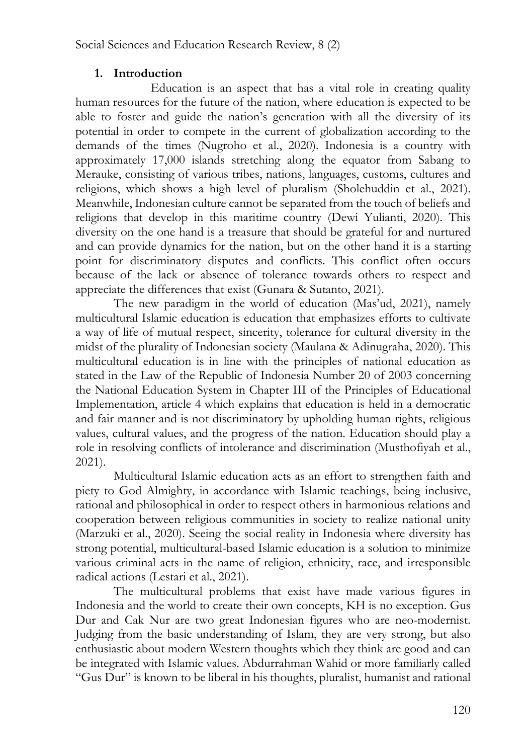# **1. Introduction**

Education is an aspect that has a vital role in creating quality human resources for the future of the nation, where education is expected to be able to foster and guide the nation's generation with all the diversity of its potential in order to compete in the current of globalization according to the demands of the times (Nugroho et al., 2020). Indonesia is a country with approximately 17,000 islands stretching along the equator from Sabang to Merauke, consisting of various tribes, nations, languages, customs, cultures and religions, which shows a high level of pluralism (Sholehuddin et al., 2021). Meanwhile, Indonesian culture cannot be separated from the touch of beliefs and religions that develop in this maritime country (Dewi Yulianti, 2020). This diversity on the one hand is a treasure that should be grateful for and nurtured and can provide dynamics for the nation, but on the other hand it is a starting point for discriminatory disputes and conflicts. This conflict often occurs because of the lack or absence of tolerance towards others to respect and appreciate the differences that exist (Gunara & Sutanto, 2021).

The new paradigm in the world of education (Mas'ud, 2021), namely multicultural Islamic education is education that emphasizes efforts to cultivate a way of life of mutual respect, sincerity, tolerance for cultural diversity in the midst of the plurality of Indonesian society (Maulana & Adinugraha, 2020). This multicultural education is in line with the principles of national education as stated in the Law of the Republic of Indonesia Number 20 of 2003 concerning the National Education System in Chapter III of the Principles of Educational Implementation, article 4 which explains that education is held in a democratic and fair manner and is not discriminatory by upholding human rights, religious values, cultural values, and the progress of the nation. Education should play a role in resolving conflicts of intolerance and discrimination (Musthofiyah et al., 2021).

Multicultural Islamic education acts as an effort to strengthen faith and piety to God Almighty, in accordance with Islamic teachings, being inclusive, rational and philosophical in order to respect others in harmonious relations and cooperation between religious communities in society to realize national unity (Marzuki et al., 2020). Seeing the social reality in Indonesia where diversity has strong potential, multicultural-based Islamic education is a solution to minimize various criminal acts in the name of religion, ethnicity, race, and irresponsible radical actions (Lestari et al., 2021).

The multicultural problems that exist have made various figures in Indonesia and the world to create their own concepts, KH is no exception. Gus Dur and Cak Nur are two great Indonesian figures who are neo-modernist. Judging from the basic understanding of Islam, they are very strong, but also enthusiastic about modern Western thoughts which they think are good and can be integrated with Islamic values. Abdurrahman Wahid or more familiarly called "Gus Dur" is known to be liberal in his thoughts, pluralist, humanist and rational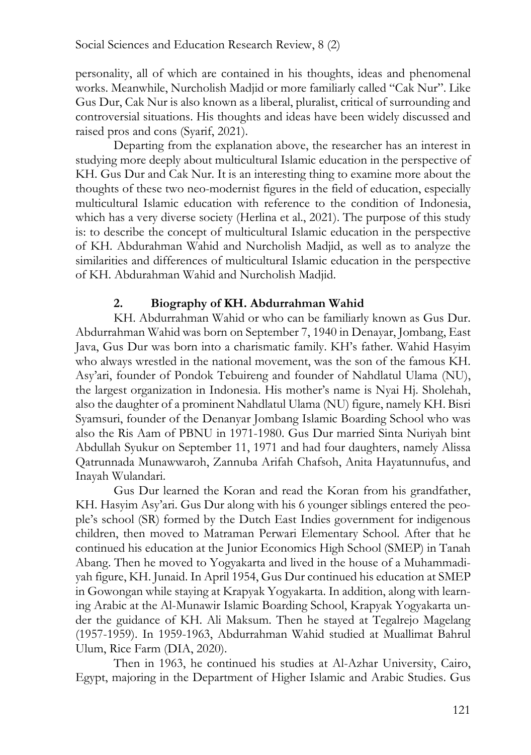personality, all of which are contained in his thoughts, ideas and phenomenal works. Meanwhile, Nurcholish Madjid or more familiarly called "Cak Nur". Like Gus Dur, Cak Nur is also known as a liberal, pluralist, critical of surrounding and controversial situations. His thoughts and ideas have been widely discussed and raised pros and cons (Syarif, 2021).

Departing from the explanation above, the researcher has an interest in studying more deeply about multicultural Islamic education in the perspective of KH. Gus Dur and Cak Nur. It is an interesting thing to examine more about the thoughts of these two neo-modernist figures in the field of education, especially multicultural Islamic education with reference to the condition of Indonesia, which has a very diverse society (Herlina et al., 2021). The purpose of this study is: to describe the concept of multicultural Islamic education in the perspective of KH. Abdurahman Wahid and Nurcholish Madjid, as well as to analyze the similarities and differences of multicultural Islamic education in the perspective of KH. Abdurahman Wahid and Nurcholish Madjid.

#### **2. Biography of KH. Abdurrahman Wahid**

KH. Abdurrahman Wahid or who can be familiarly known as Gus Dur. Abdurrahman Wahid was born on September 7, 1940 in Denayar, Jombang, East Java, Gus Dur was born into a charismatic family. KH's father. Wahid Hasyim who always wrestled in the national movement, was the son of the famous KH. Asy'ari, founder of Pondok Tebuireng and founder of Nahdlatul Ulama (NU), the largest organization in Indonesia. His mother's name is Nyai Hj. Sholehah, also the daughter of a prominent Nahdlatul Ulama (NU) figure, namely KH. Bisri Syamsuri, founder of the Denanyar Jombang Islamic Boarding School who was also the Ris Aam of PBNU in 1971-1980. Gus Dur married Sinta Nuriyah bint Abdullah Syukur on September 11, 1971 and had four daughters, namely Alissa Qatrunnada Munawwaroh, Zannuba Arifah Chafsoh, Anita Hayatunnufus, and Inayah Wulandari.

Gus Dur learned the Koran and read the Koran from his grandfather, KH. Hasyim Asy'ari. Gus Dur along with his 6 younger siblings entered the people's school (SR) formed by the Dutch East Indies government for indigenous children, then moved to Matraman Perwari Elementary School. After that he continued his education at the Junior Economics High School (SMEP) in Tanah Abang. Then he moved to Yogyakarta and lived in the house of a Muhammadiyah figure, KH. Junaid. In April 1954, Gus Dur continued his education at SMEP in Gowongan while staying at Krapyak Yogyakarta. In addition, along with learning Arabic at the Al-Munawir Islamic Boarding School, Krapyak Yogyakarta under the guidance of KH. Ali Maksum. Then he stayed at Tegalrejo Magelang (1957-1959). In 1959-1963, Abdurrahman Wahid studied at Muallimat Bahrul Ulum, Rice Farm (DIA, 2020).

Then in 1963, he continued his studies at Al-Azhar University, Cairo, Egypt, majoring in the Department of Higher Islamic and Arabic Studies. Gus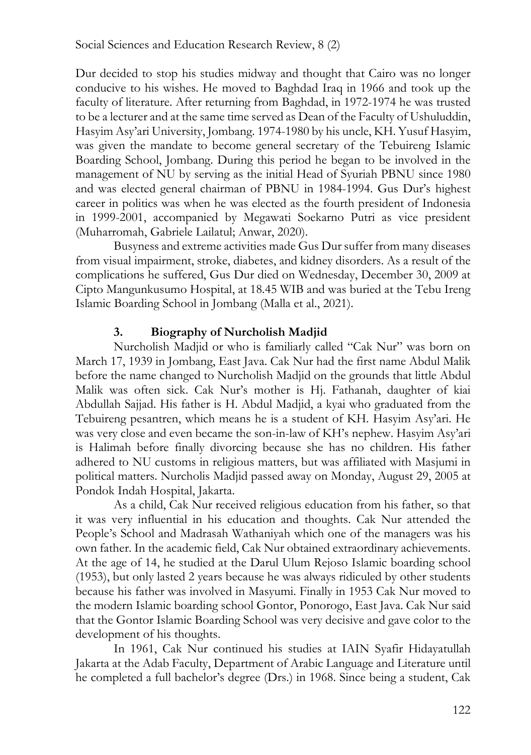Dur decided to stop his studies midway and thought that Cairo was no longer conducive to his wishes. He moved to Baghdad Iraq in 1966 and took up the faculty of literature. After returning from Baghdad, in 1972-1974 he was trusted to be a lecturer and at the same time served as Dean of the Faculty of Ushuluddin, Hasyim Asy'ari University, Jombang. 1974-1980 by his uncle, KH. Yusuf Hasyim, was given the mandate to become general secretary of the Tebuireng Islamic Boarding School, Jombang. During this period he began to be involved in the management of NU by serving as the initial Head of Syuriah PBNU since 1980 and was elected general chairman of PBNU in 1984-1994. Gus Dur's highest career in politics was when he was elected as the fourth president of Indonesia in 1999-2001, accompanied by Megawati Soekarno Putri as vice president (Muharromah, Gabriele Lailatul; Anwar, 2020).

Busyness and extreme activities made Gus Dur suffer from many diseases from visual impairment, stroke, diabetes, and kidney disorders. As a result of the complications he suffered, Gus Dur died on Wednesday, December 30, 2009 at Cipto Mangunkusumo Hospital, at 18.45 WIB and was buried at the Tebu Ireng Islamic Boarding School in Jombang (Malla et al., 2021).

# **3. Biography of Nurcholish Madjid**

Nurcholish Madjid or who is familiarly called "Cak Nur" was born on March 17, 1939 in Jombang, East Java. Cak Nur had the first name Abdul Malik before the name changed to Nurcholish Madjid on the grounds that little Abdul Malik was often sick. Cak Nur's mother is Hj. Fathanah, daughter of kiai Abdullah Sajjad. His father is H. Abdul Madjid, a kyai who graduated from the Tebuireng pesantren, which means he is a student of KH. Hasyim Asy'ari. He was very close and even became the son-in-law of KH's nephew. Hasyim Asy'ari is Halimah before finally divorcing because she has no children. His father adhered to NU customs in religious matters, but was affiliated with Masjumi in political matters. Nurcholis Madjid passed away on Monday, August 29, 2005 at Pondok Indah Hospital, Jakarta.

As a child, Cak Nur received religious education from his father, so that it was very influential in his education and thoughts. Cak Nur attended the People's School and Madrasah Wathaniyah which one of the managers was his own father. In the academic field, Cak Nur obtained extraordinary achievements. At the age of 14, he studied at the Darul Ulum Rejoso Islamic boarding school (1953), but only lasted 2 years because he was always ridiculed by other students because his father was involved in Masyumi. Finally in 1953 Cak Nur moved to the modern Islamic boarding school Gontor, Ponorogo, East Java. Cak Nur said that the Gontor Islamic Boarding School was very decisive and gave color to the development of his thoughts.

In 1961, Cak Nur continued his studies at IAIN Syafir Hidayatullah Jakarta at the Adab Faculty, Department of Arabic Language and Literature until he completed a full bachelor's degree (Drs.) in 1968. Since being a student, Cak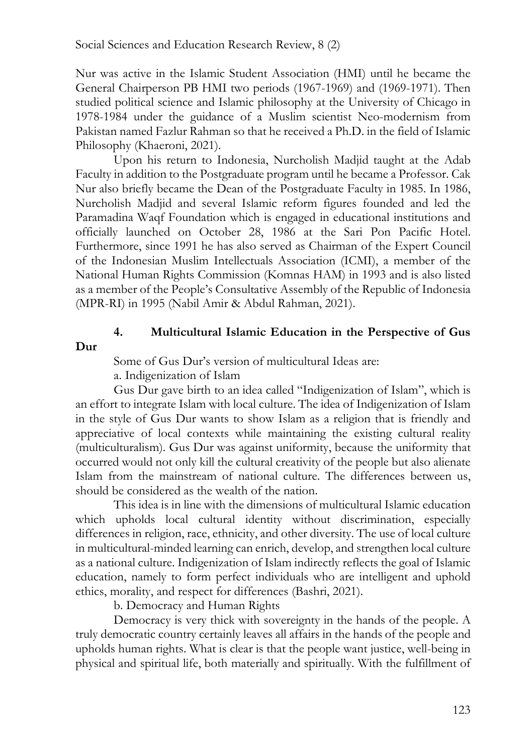Nur was active in the Islamic Student Association (HMI) until he became the General Chairperson PB HMI two periods (1967-1969) and (1969-1971). Then studied political science and Islamic philosophy at the University of Chicago in 1978-1984 under the guidance of a Muslim scientist Neo-modernism from Pakistan named Fazlur Rahman so that he received a Ph.D. in the field of Islamic Philosophy (Khaeroni, 2021).

Upon his return to Indonesia, Nurcholish Madjid taught at the Adab Faculty in addition to the Postgraduate program until he became a Professor. Cak Nur also briefly became the Dean of the Postgraduate Faculty in 1985. In 1986, Nurcholish Madjid and several Islamic reform figures founded and led the Paramadina Waqf Foundation which is engaged in educational institutions and officially launched on October 28, 1986 at the Sari Pon Pacific Hotel. Furthermore, since 1991 he has also served as Chairman of the Expert Council of the Indonesian Muslim Intellectuals Association (ICMI), a member of the National Human Rights Commission (Komnas HAM) in 1993 and is also listed as a member of the People's Consultative Assembly of the Republic of Indonesia (MPR-RI) in 1995 (Nabil Amir & Abdul Rahman, 2021).

# **4. Multicultural Islamic Education in the Perspective of Gus**

**Dur**

Some of Gus Dur's version of multicultural Ideas are: a. Indigenization of Islam

Gus Dur gave birth to an idea called "Indigenization of Islam", which is an effort to integrate Islam with local culture. The idea of Indigenization of Islam in the style of Gus Dur wants to show Islam as a religion that is friendly and appreciative of local contexts while maintaining the existing cultural reality (multiculturalism). Gus Dur was against uniformity, because the uniformity that occurred would not only kill the cultural creativity of the people but also alienate Islam from the mainstream of national culture. The differences between us, should be considered as the wealth of the nation.

This idea is in line with the dimensions of multicultural Islamic education which upholds local cultural identity without discrimination, especially differences in religion, race, ethnicity, and other diversity. The use of local culture in multicultural-minded learning can enrich, develop, and strengthen local culture as a national culture. Indigenization of Islam indirectly reflects the goal of Islamic education, namely to form perfect individuals who are intelligent and uphold ethics, morality, and respect for differences (Bashri, 2021).

b. Democracy and Human Rights

Democracy is very thick with sovereignty in the hands of the people. A truly democratic country certainly leaves all affairs in the hands of the people and upholds human rights. What is clear is that the people want justice, well-being in physical and spiritual life, both materially and spiritually. With the fulfillment of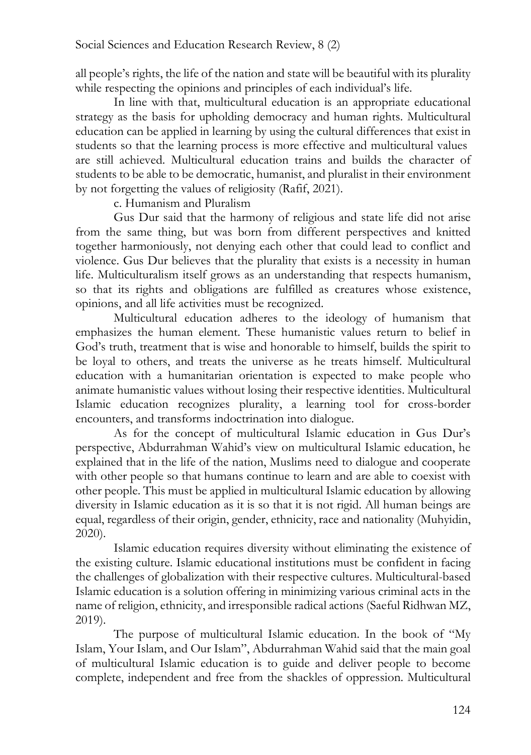all people's rights, the life of the nation and state will be beautiful with its plurality while respecting the opinions and principles of each individual's life.

In line with that, multicultural education is an appropriate educational strategy as the basis for upholding democracy and human rights. Multicultural education can be applied in learning by using the cultural differences that exist in students so that the learning process is more effective and multicultural values are still achieved. Multicultural education trains and builds the character of students to be able to be democratic, humanist, and pluralist in their environment by not forgetting the values of religiosity (Rafif, 2021).

c. Humanism and Pluralism

Gus Dur said that the harmony of religious and state life did not arise from the same thing, but was born from different perspectives and knitted together harmoniously, not denying each other that could lead to conflict and violence. Gus Dur believes that the plurality that exists is a necessity in human life. Multiculturalism itself grows as an understanding that respects humanism, so that its rights and obligations are fulfilled as creatures whose existence, opinions, and all life activities must be recognized.

Multicultural education adheres to the ideology of humanism that emphasizes the human element. These humanistic values return to belief in God's truth, treatment that is wise and honorable to himself, builds the spirit to be loyal to others, and treats the universe as he treats himself. Multicultural education with a humanitarian orientation is expected to make people who animate humanistic values without losing their respective identities. Multicultural Islamic education recognizes plurality, a learning tool for cross-border encounters, and transforms indoctrination into dialogue.

As for the concept of multicultural Islamic education in Gus Dur's perspective, Abdurrahman Wahid's view on multicultural Islamic education, he explained that in the life of the nation, Muslims need to dialogue and cooperate with other people so that humans continue to learn and are able to coexist with other people. This must be applied in multicultural Islamic education by allowing diversity in Islamic education as it is so that it is not rigid. All human beings are equal, regardless of their origin, gender, ethnicity, race and nationality (Muhyidin, 2020).

Islamic education requires diversity without eliminating the existence of the existing culture. Islamic educational institutions must be confident in facing the challenges of globalization with their respective cultures. Multicultural-based Islamic education is a solution offering in minimizing various criminal acts in the name of religion, ethnicity, and irresponsible radical actions (Saeful Ridhwan MZ, 2019).

The purpose of multicultural Islamic education. In the book of "My Islam, Your Islam, and Our Islam", Abdurrahman Wahid said that the main goal of multicultural Islamic education is to guide and deliver people to become complete, independent and free from the shackles of oppression. Multicultural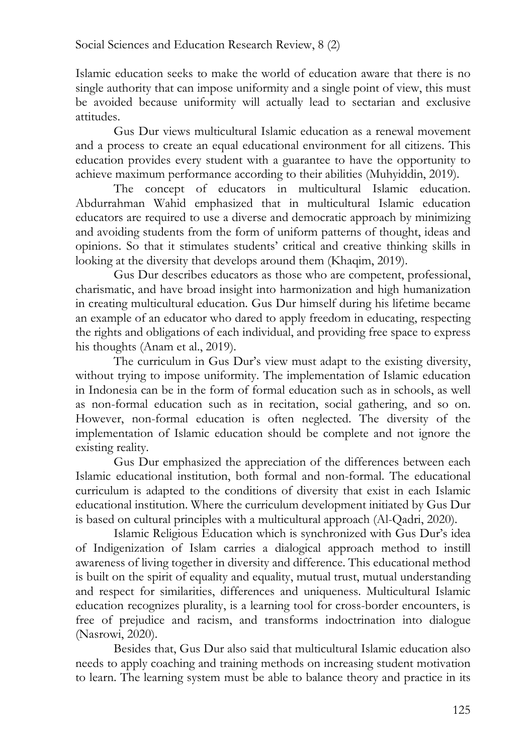Islamic education seeks to make the world of education aware that there is no single authority that can impose uniformity and a single point of view, this must be avoided because uniformity will actually lead to sectarian and exclusive attitudes.

Gus Dur views multicultural Islamic education as a renewal movement and a process to create an equal educational environment for all citizens. This education provides every student with a guarantee to have the opportunity to achieve maximum performance according to their abilities (Muhyiddin, 2019).

The concept of educators in multicultural Islamic education. Abdurrahman Wahid emphasized that in multicultural Islamic education educators are required to use a diverse and democratic approach by minimizing and avoiding students from the form of uniform patterns of thought, ideas and opinions. So that it stimulates students' critical and creative thinking skills in looking at the diversity that develops around them (Khaqim, 2019).

Gus Dur describes educators as those who are competent, professional, charismatic, and have broad insight into harmonization and high humanization in creating multicultural education. Gus Dur himself during his lifetime became an example of an educator who dared to apply freedom in educating, respecting the rights and obligations of each individual, and providing free space to express his thoughts (Anam et al., 2019).

The curriculum in Gus Dur's view must adapt to the existing diversity, without trying to impose uniformity. The implementation of Islamic education in Indonesia can be in the form of formal education such as in schools, as well as non-formal education such as in recitation, social gathering, and so on. However, non-formal education is often neglected. The diversity of the implementation of Islamic education should be complete and not ignore the existing reality.

Gus Dur emphasized the appreciation of the differences between each Islamic educational institution, both formal and non-formal. The educational curriculum is adapted to the conditions of diversity that exist in each Islamic educational institution. Where the curriculum development initiated by Gus Dur is based on cultural principles with a multicultural approach (Al-Qadri, 2020).

Islamic Religious Education which is synchronized with Gus Dur's idea of Indigenization of Islam carries a dialogical approach method to instill awareness of living together in diversity and difference. This educational method is built on the spirit of equality and equality, mutual trust, mutual understanding and respect for similarities, differences and uniqueness. Multicultural Islamic education recognizes plurality, is a learning tool for cross-border encounters, is free of prejudice and racism, and transforms indoctrination into dialogue (Nasrowi, 2020).

Besides that, Gus Dur also said that multicultural Islamic education also needs to apply coaching and training methods on increasing student motivation to learn. The learning system must be able to balance theory and practice in its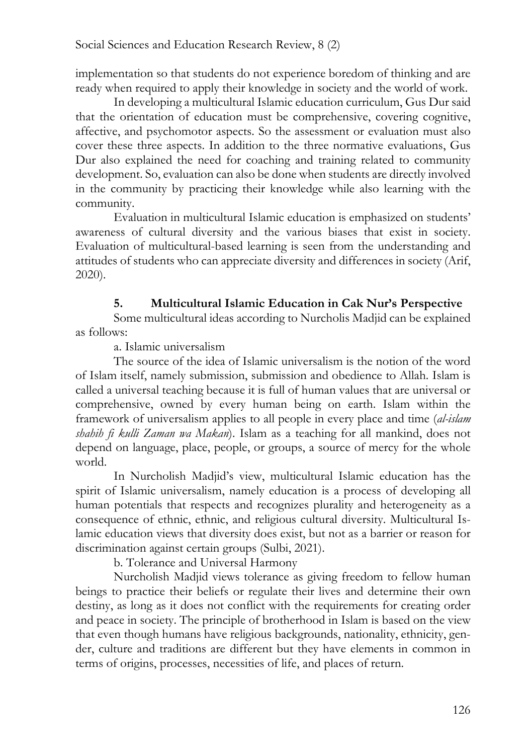implementation so that students do not experience boredom of thinking and are ready when required to apply their knowledge in society and the world of work.

In developing a multicultural Islamic education curriculum, Gus Dur said that the orientation of education must be comprehensive, covering cognitive, affective, and psychomotor aspects. So the assessment or evaluation must also cover these three aspects. In addition to the three normative evaluations, Gus Dur also explained the need for coaching and training related to community development. So, evaluation can also be done when students are directly involved in the community by practicing their knowledge while also learning with the community.

Evaluation in multicultural Islamic education is emphasized on students' awareness of cultural diversity and the various biases that exist in society. Evaluation of multicultural-based learning is seen from the understanding and attitudes of students who can appreciate diversity and differences in society (Arif, 2020).

## **5. Multicultural Islamic Education in Cak Nur's Perspective**

Some multicultural ideas according to Nurcholis Madjid can be explained as follows:

#### a. Islamic universalism

The source of the idea of Islamic universalism is the notion of the word of Islam itself, namely submission, submission and obedience to Allah. Islam is called a universal teaching because it is full of human values that are universal or comprehensive, owned by every human being on earth. Islam within the framework of universalism applies to all people in every place and time (*al-islam shahih fi kulli Zaman wa Makan*). Islam as a teaching for all mankind, does not depend on language, place, people, or groups, a source of mercy for the whole world.

In Nurcholish Madjid's view, multicultural Islamic education has the spirit of Islamic universalism, namely education is a process of developing all human potentials that respects and recognizes plurality and heterogeneity as a consequence of ethnic, ethnic, and religious cultural diversity. Multicultural Islamic education views that diversity does exist, but not as a barrier or reason for discrimination against certain groups (Sulbi, 2021).

b. Tolerance and Universal Harmony

Nurcholish Madjid views tolerance as giving freedom to fellow human beings to practice their beliefs or regulate their lives and determine their own destiny, as long as it does not conflict with the requirements for creating order and peace in society. The principle of brotherhood in Islam is based on the view that even though humans have religious backgrounds, nationality, ethnicity, gender, culture and traditions are different but they have elements in common in terms of origins, processes, necessities of life, and places of return.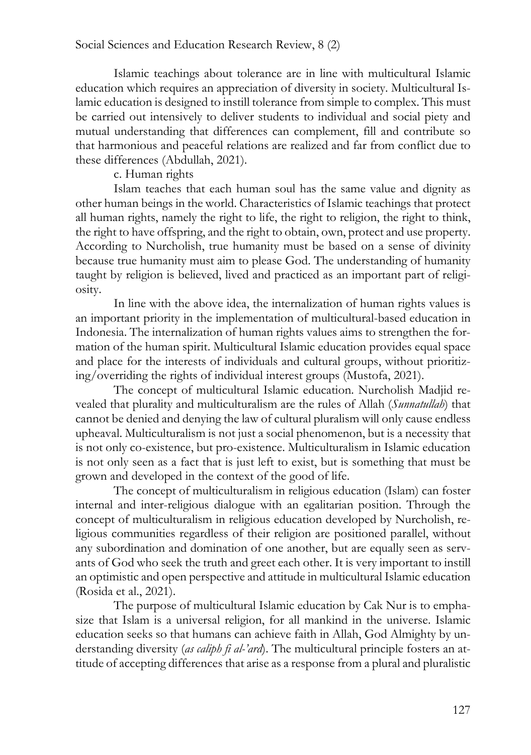Islamic teachings about tolerance are in line with multicultural Islamic education which requires an appreciation of diversity in society. Multicultural Islamic education is designed to instill tolerance from simple to complex. This must be carried out intensively to deliver students to individual and social piety and mutual understanding that differences can complement, fill and contribute so that harmonious and peaceful relations are realized and far from conflict due to these differences (Abdullah, 2021).

#### c. Human rights

Islam teaches that each human soul has the same value and dignity as other human beings in the world. Characteristics of Islamic teachings that protect all human rights, namely the right to life, the right to religion, the right to think, the right to have offspring, and the right to obtain, own, protect and use property. According to Nurcholish, true humanity must be based on a sense of divinity because true humanity must aim to please God. The understanding of humanity taught by religion is believed, lived and practiced as an important part of religiosity.

In line with the above idea, the internalization of human rights values is an important priority in the implementation of multicultural-based education in Indonesia. The internalization of human rights values aims to strengthen the formation of the human spirit. Multicultural Islamic education provides equal space and place for the interests of individuals and cultural groups, without prioritizing/overriding the rights of individual interest groups (Mustofa, 2021).

The concept of multicultural Islamic education. Nurcholish Madjid revealed that plurality and multiculturalism are the rules of Allah (*Sunnatullah*) that cannot be denied and denying the law of cultural pluralism will only cause endless upheaval. Multiculturalism is not just a social phenomenon, but is a necessity that is not only co-existence, but pro-existence. Multiculturalism in Islamic education is not only seen as a fact that is just left to exist, but is something that must be grown and developed in the context of the good of life.

The concept of multiculturalism in religious education (Islam) can foster internal and inter-religious dialogue with an egalitarian position. Through the concept of multiculturalism in religious education developed by Nurcholish, religious communities regardless of their religion are positioned parallel, without any subordination and domination of one another, but are equally seen as servants of God who seek the truth and greet each other. It is very important to instill an optimistic and open perspective and attitude in multicultural Islamic education (Rosida et al., 2021).

The purpose of multicultural Islamic education by Cak Nur is to emphasize that Islam is a universal religion, for all mankind in the universe. Islamic education seeks so that humans can achieve faith in Allah, God Almighty by understanding diversity (*as caliph fi al-'ard*). The multicultural principle fosters an attitude of accepting differences that arise as a response from a plural and pluralistic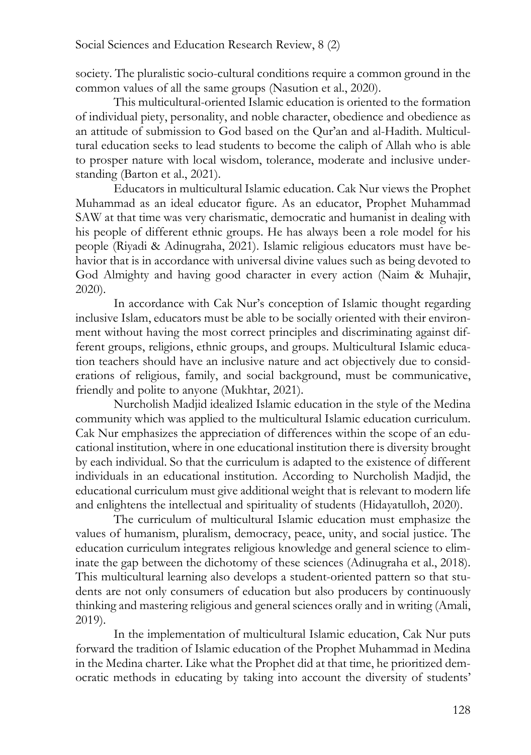society. The pluralistic socio-cultural conditions require a common ground in the common values of all the same groups (Nasution et al., 2020).

This multicultural-oriented Islamic education is oriented to the formation of individual piety, personality, and noble character, obedience and obedience as an attitude of submission to God based on the Qur'an and al-Hadith. Multicultural education seeks to lead students to become the caliph of Allah who is able to prosper nature with local wisdom, tolerance, moderate and inclusive understanding (Barton et al., 2021).

Educators in multicultural Islamic education. Cak Nur views the Prophet Muhammad as an ideal educator figure. As an educator, Prophet Muhammad SAW at that time was very charismatic, democratic and humanist in dealing with his people of different ethnic groups. He has always been a role model for his people (Riyadi & Adinugraha, 2021). Islamic religious educators must have behavior that is in accordance with universal divine values such as being devoted to God Almighty and having good character in every action (Naim & Muhajir, 2020).

In accordance with Cak Nur's conception of Islamic thought regarding inclusive Islam, educators must be able to be socially oriented with their environment without having the most correct principles and discriminating against different groups, religions, ethnic groups, and groups. Multicultural Islamic education teachers should have an inclusive nature and act objectively due to considerations of religious, family, and social background, must be communicative, friendly and polite to anyone (Mukhtar, 2021).

Nurcholish Madjid idealized Islamic education in the style of the Medina community which was applied to the multicultural Islamic education curriculum. Cak Nur emphasizes the appreciation of differences within the scope of an educational institution, where in one educational institution there is diversity brought by each individual. So that the curriculum is adapted to the existence of different individuals in an educational institution. According to Nurcholish Madjid, the educational curriculum must give additional weight that is relevant to modern life and enlightens the intellectual and spirituality of students (Hidayatulloh, 2020).

The curriculum of multicultural Islamic education must emphasize the values of humanism, pluralism, democracy, peace, unity, and social justice. The education curriculum integrates religious knowledge and general science to eliminate the gap between the dichotomy of these sciences (Adinugraha et al., 2018). This multicultural learning also develops a student-oriented pattern so that students are not only consumers of education but also producers by continuously thinking and mastering religious and general sciences orally and in writing (Amali, 2019).

In the implementation of multicultural Islamic education, Cak Nur puts forward the tradition of Islamic education of the Prophet Muhammad in Medina in the Medina charter. Like what the Prophet did at that time, he prioritized democratic methods in educating by taking into account the diversity of students'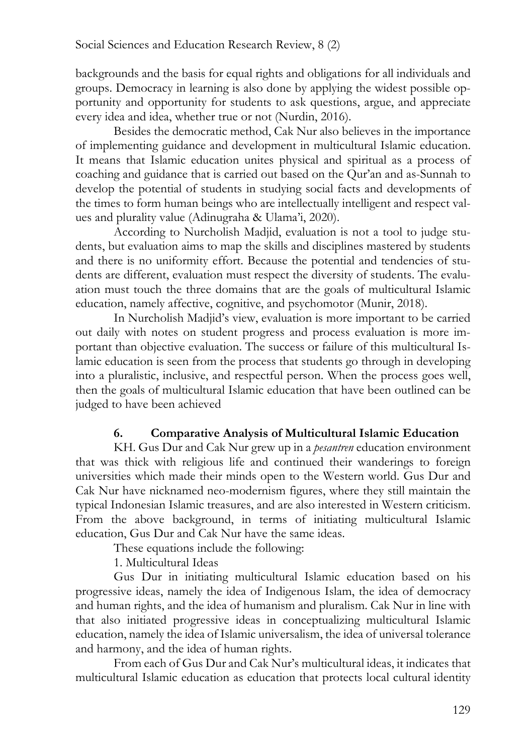backgrounds and the basis for equal rights and obligations for all individuals and groups. Democracy in learning is also done by applying the widest possible opportunity and opportunity for students to ask questions, argue, and appreciate every idea and idea, whether true or not (Nurdin, 2016).

Besides the democratic method, Cak Nur also believes in the importance of implementing guidance and development in multicultural Islamic education. It means that Islamic education unites physical and spiritual as a process of coaching and guidance that is carried out based on the Qur'an and as-Sunnah to develop the potential of students in studying social facts and developments of the times to form human beings who are intellectually intelligent and respect values and plurality value (Adinugraha & Ulama'i, 2020).

According to Nurcholish Madjid, evaluation is not a tool to judge students, but evaluation aims to map the skills and disciplines mastered by students and there is no uniformity effort. Because the potential and tendencies of students are different, evaluation must respect the diversity of students. The evaluation must touch the three domains that are the goals of multicultural Islamic education, namely affective, cognitive, and psychomotor (Munir, 2018).

In Nurcholish Madjid's view, evaluation is more important to be carried out daily with notes on student progress and process evaluation is more important than objective evaluation. The success or failure of this multicultural Islamic education is seen from the process that students go through in developing into a pluralistic, inclusive, and respectful person. When the process goes well, then the goals of multicultural Islamic education that have been outlined can be judged to have been achieved

## **6. Comparative Analysis of Multicultural Islamic Education**

KH. Gus Dur and Cak Nur grew up in a *pesantren* education environment that was thick with religious life and continued their wanderings to foreign universities which made their minds open to the Western world. Gus Dur and Cak Nur have nicknamed neo-modernism figures, where they still maintain the typical Indonesian Islamic treasures, and are also interested in Western criticism. From the above background, in terms of initiating multicultural Islamic education, Gus Dur and Cak Nur have the same ideas.

These equations include the following:

1. Multicultural Ideas

Gus Dur in initiating multicultural Islamic education based on his progressive ideas, namely the idea of Indigenous Islam, the idea of democracy and human rights, and the idea of humanism and pluralism. Cak Nur in line with that also initiated progressive ideas in conceptualizing multicultural Islamic education, namely the idea of Islamic universalism, the idea of universal tolerance and harmony, and the idea of human rights.

From each of Gus Dur and Cak Nur's multicultural ideas, it indicates that multicultural Islamic education as education that protects local cultural identity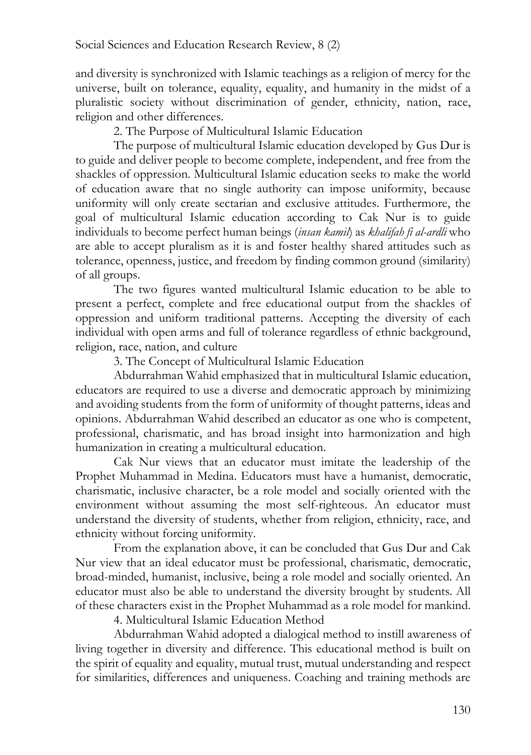and diversity is synchronized with Islamic teachings as a religion of mercy for the universe, built on tolerance, equality, equality, and humanity in the midst of a pluralistic society without discrimination of gender, ethnicity, nation, race, religion and other differences.

2. The Purpose of Multicultural Islamic Education

The purpose of multicultural Islamic education developed by Gus Dur is to guide and deliver people to become complete, independent, and free from the shackles of oppression. Multicultural Islamic education seeks to make the world of education aware that no single authority can impose uniformity, because uniformity will only create sectarian and exclusive attitudes. Furthermore, the goal of multicultural Islamic education according to Cak Nur is to guide individuals to become perfect human beings (*insan kamil*) as *khalifah fi al-ardli* who are able to accept pluralism as it is and foster healthy shared attitudes such as tolerance, openness, justice, and freedom by finding common ground (similarity) of all groups.

The two figures wanted multicultural Islamic education to be able to present a perfect, complete and free educational output from the shackles of oppression and uniform traditional patterns. Accepting the diversity of each individual with open arms and full of tolerance regardless of ethnic background, religion, race, nation, and culture

3. The Concept of Multicultural Islamic Education

Abdurrahman Wahid emphasized that in multicultural Islamic education, educators are required to use a diverse and democratic approach by minimizing and avoiding students from the form of uniformity of thought patterns, ideas and opinions. Abdurrahman Wahid described an educator as one who is competent, professional, charismatic, and has broad insight into harmonization and high humanization in creating a multicultural education.

Cak Nur views that an educator must imitate the leadership of the Prophet Muhammad in Medina. Educators must have a humanist, democratic, charismatic, inclusive character, be a role model and socially oriented with the environment without assuming the most self-righteous. An educator must understand the diversity of students, whether from religion, ethnicity, race, and ethnicity without forcing uniformity.

From the explanation above, it can be concluded that Gus Dur and Cak Nur view that an ideal educator must be professional, charismatic, democratic, broad-minded, humanist, inclusive, being a role model and socially oriented. An educator must also be able to understand the diversity brought by students. All of these characters exist in the Prophet Muhammad as a role model for mankind.

4. Multicultural Islamic Education Method

Abdurrahman Wahid adopted a dialogical method to instill awareness of living together in diversity and difference. This educational method is built on the spirit of equality and equality, mutual trust, mutual understanding and respect for similarities, differences and uniqueness. Coaching and training methods are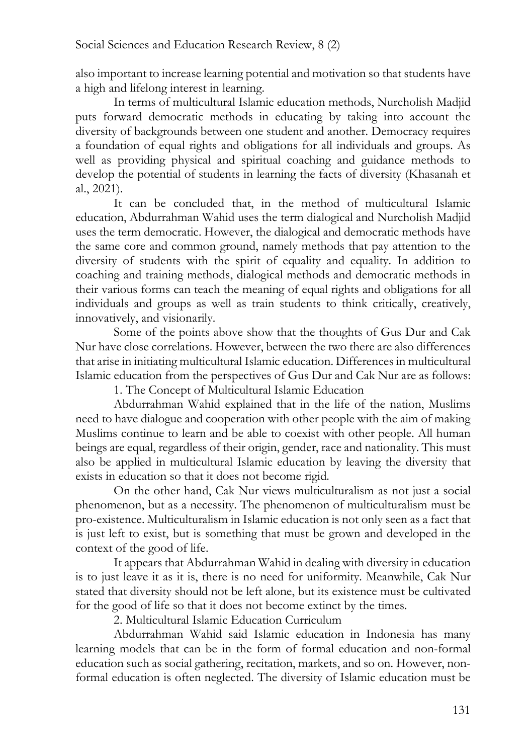also important to increase learning potential and motivation so that students have a high and lifelong interest in learning.

In terms of multicultural Islamic education methods, Nurcholish Madjid puts forward democratic methods in educating by taking into account the diversity of backgrounds between one student and another. Democracy requires a foundation of equal rights and obligations for all individuals and groups. As well as providing physical and spiritual coaching and guidance methods to develop the potential of students in learning the facts of diversity (Khasanah et al., 2021).

It can be concluded that, in the method of multicultural Islamic education, Abdurrahman Wahid uses the term dialogical and Nurcholish Madjid uses the term democratic. However, the dialogical and democratic methods have the same core and common ground, namely methods that pay attention to the diversity of students with the spirit of equality and equality. In addition to coaching and training methods, dialogical methods and democratic methods in their various forms can teach the meaning of equal rights and obligations for all individuals and groups as well as train students to think critically, creatively, innovatively, and visionarily.

Some of the points above show that the thoughts of Gus Dur and Cak Nur have close correlations. However, between the two there are also differences that arise in initiating multicultural Islamic education. Differences in multicultural Islamic education from the perspectives of Gus Dur and Cak Nur are as follows: 1. The Concept of Multicultural Islamic Education

Abdurrahman Wahid explained that in the life of the nation, Muslims need to have dialogue and cooperation with other people with the aim of making Muslims continue to learn and be able to coexist with other people. All human beings are equal, regardless of their origin, gender, race and nationality. This must also be applied in multicultural Islamic education by leaving the diversity that exists in education so that it does not become rigid.

On the other hand, Cak Nur views multiculturalism as not just a social phenomenon, but as a necessity. The phenomenon of multiculturalism must be pro-existence. Multiculturalism in Islamic education is not only seen as a fact that is just left to exist, but is something that must be grown and developed in the context of the good of life.

It appears that Abdurrahman Wahid in dealing with diversity in education is to just leave it as it is, there is no need for uniformity. Meanwhile, Cak Nur stated that diversity should not be left alone, but its existence must be cultivated for the good of life so that it does not become extinct by the times.

2. Multicultural Islamic Education Curriculum

Abdurrahman Wahid said Islamic education in Indonesia has many learning models that can be in the form of formal education and non-formal education such as social gathering, recitation, markets, and so on. However, nonformal education is often neglected. The diversity of Islamic education must be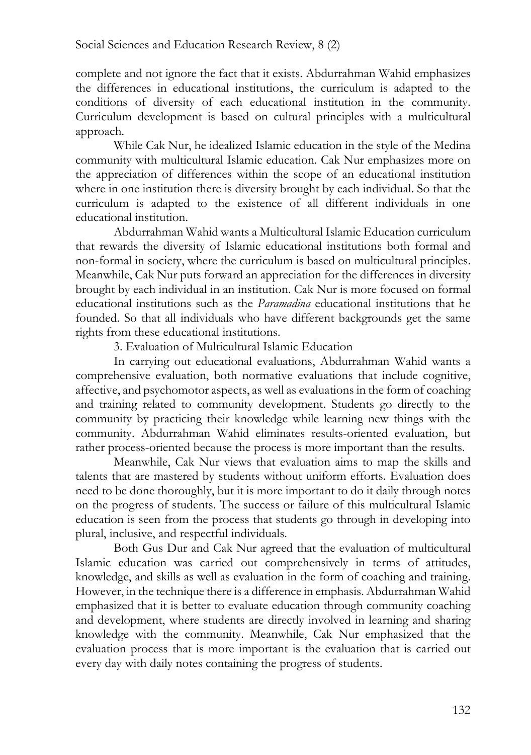complete and not ignore the fact that it exists. Abdurrahman Wahid emphasizes the differences in educational institutions, the curriculum is adapted to the conditions of diversity of each educational institution in the community. Curriculum development is based on cultural principles with a multicultural approach.

While Cak Nur, he idealized Islamic education in the style of the Medina community with multicultural Islamic education. Cak Nur emphasizes more on the appreciation of differences within the scope of an educational institution where in one institution there is diversity brought by each individual. So that the curriculum is adapted to the existence of all different individuals in one educational institution.

Abdurrahman Wahid wants a Multicultural Islamic Education curriculum that rewards the diversity of Islamic educational institutions both formal and non-formal in society, where the curriculum is based on multicultural principles. Meanwhile, Cak Nur puts forward an appreciation for the differences in diversity brought by each individual in an institution. Cak Nur is more focused on formal educational institutions such as the *Paramadina* educational institutions that he founded. So that all individuals who have different backgrounds get the same rights from these educational institutions.

3. Evaluation of Multicultural Islamic Education

In carrying out educational evaluations, Abdurrahman Wahid wants a comprehensive evaluation, both normative evaluations that include cognitive, affective, and psychomotor aspects, as well as evaluations in the form of coaching and training related to community development. Students go directly to the community by practicing their knowledge while learning new things with the community. Abdurrahman Wahid eliminates results-oriented evaluation, but rather process-oriented because the process is more important than the results.

Meanwhile, Cak Nur views that evaluation aims to map the skills and talents that are mastered by students without uniform efforts. Evaluation does need to be done thoroughly, but it is more important to do it daily through notes on the progress of students. The success or failure of this multicultural Islamic education is seen from the process that students go through in developing into plural, inclusive, and respectful individuals.

Both Gus Dur and Cak Nur agreed that the evaluation of multicultural Islamic education was carried out comprehensively in terms of attitudes, knowledge, and skills as well as evaluation in the form of coaching and training. However, in the technique there is a difference in emphasis. Abdurrahman Wahid emphasized that it is better to evaluate education through community coaching and development, where students are directly involved in learning and sharing knowledge with the community. Meanwhile, Cak Nur emphasized that the evaluation process that is more important is the evaluation that is carried out every day with daily notes containing the progress of students.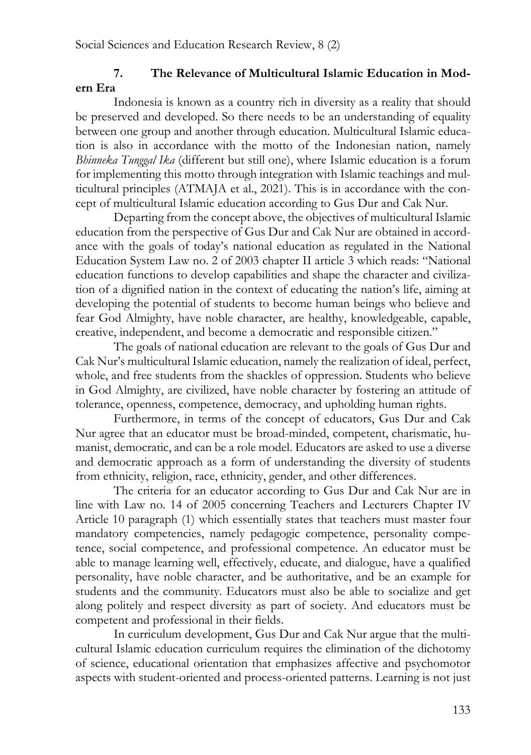# **7. The Relevance of Multicultural Islamic Education in Modern Era**

Indonesia is known as a country rich in diversity as a reality that should be preserved and developed. So there needs to be an understanding of equality between one group and another through education. Multicultural Islamic education is also in accordance with the motto of the Indonesian nation, namely *Bhinneka Tunggal Ika* (different but still one), where Islamic education is a forum for implementing this motto through integration with Islamic teachings and multicultural principles (ATMAJA et al., 2021). This is in accordance with the concept of multicultural Islamic education according to Gus Dur and Cak Nur.

Departing from the concept above, the objectives of multicultural Islamic education from the perspective of Gus Dur and Cak Nur are obtained in accordance with the goals of today's national education as regulated in the National Education System Law no. 2 of 2003 chapter II article 3 which reads: "National education functions to develop capabilities and shape the character and civilization of a dignified nation in the context of educating the nation's life, aiming at developing the potential of students to become human beings who believe and fear God Almighty, have noble character, are healthy, knowledgeable, capable, creative, independent, and become a democratic and responsible citizen."

The goals of national education are relevant to the goals of Gus Dur and Cak Nur's multicultural Islamic education, namely the realization of ideal, perfect, whole, and free students from the shackles of oppression. Students who believe in God Almighty, are civilized, have noble character by fostering an attitude of tolerance, openness, competence, democracy, and upholding human rights.

Furthermore, in terms of the concept of educators, Gus Dur and Cak Nur agree that an educator must be broad-minded, competent, charismatic, humanist, democratic, and can be a role model. Educators are asked to use a diverse and democratic approach as a form of understanding the diversity of students from ethnicity, religion, race, ethnicity, gender, and other differences.

The criteria for an educator according to Gus Dur and Cak Nur are in line with Law no. 14 of 2005 concerning Teachers and Lecturers Chapter IV Article 10 paragraph (1) which essentially states that teachers must master four mandatory competencies, namely pedagogic competence, personality competence, social competence, and professional competence. An educator must be able to manage learning well, effectively, educate, and dialogue, have a qualified personality, have noble character, and be authoritative, and be an example for students and the community. Educators must also be able to socialize and get along politely and respect diversity as part of society. And educators must be competent and professional in their fields.

In curriculum development, Gus Dur and Cak Nur argue that the multicultural Islamic education curriculum requires the elimination of the dichotomy of science, educational orientation that emphasizes affective and psychomotor aspects with student-oriented and process-oriented patterns. Learning is not just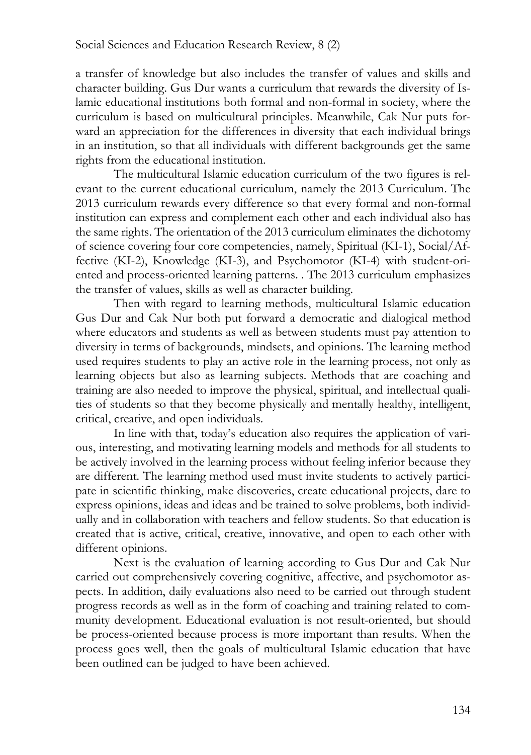a transfer of knowledge but also includes the transfer of values and skills and character building. Gus Dur wants a curriculum that rewards the diversity of Islamic educational institutions both formal and non-formal in society, where the curriculum is based on multicultural principles. Meanwhile, Cak Nur puts forward an appreciation for the differences in diversity that each individual brings in an institution, so that all individuals with different backgrounds get the same rights from the educational institution.

The multicultural Islamic education curriculum of the two figures is relevant to the current educational curriculum, namely the 2013 Curriculum. The 2013 curriculum rewards every difference so that every formal and non-formal institution can express and complement each other and each individual also has the same rights. The orientation of the 2013 curriculum eliminates the dichotomy of science covering four core competencies, namely, Spiritual (KI-1), Social/Affective (KI-2), Knowledge (KI-3), and Psychomotor (KI-4) with student-oriented and process-oriented learning patterns. . The 2013 curriculum emphasizes the transfer of values, skills as well as character building.

Then with regard to learning methods, multicultural Islamic education Gus Dur and Cak Nur both put forward a democratic and dialogical method where educators and students as well as between students must pay attention to diversity in terms of backgrounds, mindsets, and opinions. The learning method used requires students to play an active role in the learning process, not only as learning objects but also as learning subjects. Methods that are coaching and training are also needed to improve the physical, spiritual, and intellectual qualities of students so that they become physically and mentally healthy, intelligent, critical, creative, and open individuals.

In line with that, today's education also requires the application of various, interesting, and motivating learning models and methods for all students to be actively involved in the learning process without feeling inferior because they are different. The learning method used must invite students to actively participate in scientific thinking, make discoveries, create educational projects, dare to express opinions, ideas and ideas and be trained to solve problems, both individually and in collaboration with teachers and fellow students. So that education is created that is active, critical, creative, innovative, and open to each other with different opinions.

Next is the evaluation of learning according to Gus Dur and Cak Nur carried out comprehensively covering cognitive, affective, and psychomotor aspects. In addition, daily evaluations also need to be carried out through student progress records as well as in the form of coaching and training related to community development. Educational evaluation is not result-oriented, but should be process-oriented because process is more important than results. When the process goes well, then the goals of multicultural Islamic education that have been outlined can be judged to have been achieved.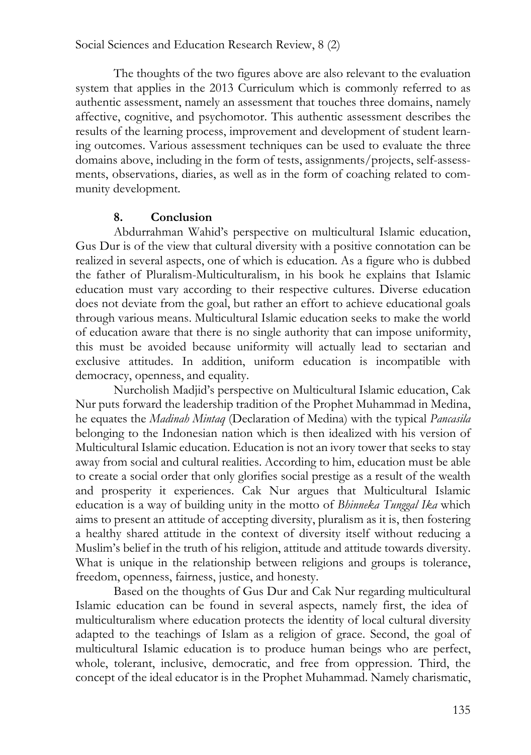The thoughts of the two figures above are also relevant to the evaluation system that applies in the 2013 Curriculum which is commonly referred to as authentic assessment, namely an assessment that touches three domains, namely affective, cognitive, and psychomotor. This authentic assessment describes the results of the learning process, improvement and development of student learning outcomes. Various assessment techniques can be used to evaluate the three domains above, including in the form of tests, assignments/projects, self-assessments, observations, diaries, as well as in the form of coaching related to community development.

#### **8. Conclusion**

Abdurrahman Wahid's perspective on multicultural Islamic education, Gus Dur is of the view that cultural diversity with a positive connotation can be realized in several aspects, one of which is education. As a figure who is dubbed the father of Pluralism-Multiculturalism, in his book he explains that Islamic education must vary according to their respective cultures. Diverse education does not deviate from the goal, but rather an effort to achieve educational goals through various means. Multicultural Islamic education seeks to make the world of education aware that there is no single authority that can impose uniformity, this must be avoided because uniformity will actually lead to sectarian and exclusive attitudes. In addition, uniform education is incompatible with democracy, openness, and equality.

Nurcholish Madjid's perspective on Multicultural Islamic education, Cak Nur puts forward the leadership tradition of the Prophet Muhammad in Medina, he equates the *Madinah Mintaq* (Declaration of Medina) with the typical *Pancasila* belonging to the Indonesian nation which is then idealized with his version of Multicultural Islamic education. Education is not an ivory tower that seeks to stay away from social and cultural realities. According to him, education must be able to create a social order that only glorifies social prestige as a result of the wealth and prosperity it experiences. Cak Nur argues that Multicultural Islamic education is a way of building unity in the motto of *Bhinneka Tunggal Ika* which aims to present an attitude of accepting diversity, pluralism as it is, then fostering a healthy shared attitude in the context of diversity itself without reducing a Muslim's belief in the truth of his religion, attitude and attitude towards diversity. What is unique in the relationship between religions and groups is tolerance, freedom, openness, fairness, justice, and honesty.

Based on the thoughts of Gus Dur and Cak Nur regarding multicultural Islamic education can be found in several aspects, namely first, the idea of multiculturalism where education protects the identity of local cultural diversity adapted to the teachings of Islam as a religion of grace. Second, the goal of multicultural Islamic education is to produce human beings who are perfect, whole, tolerant, inclusive, democratic, and free from oppression. Third, the concept of the ideal educator is in the Prophet Muhammad. Namely charismatic,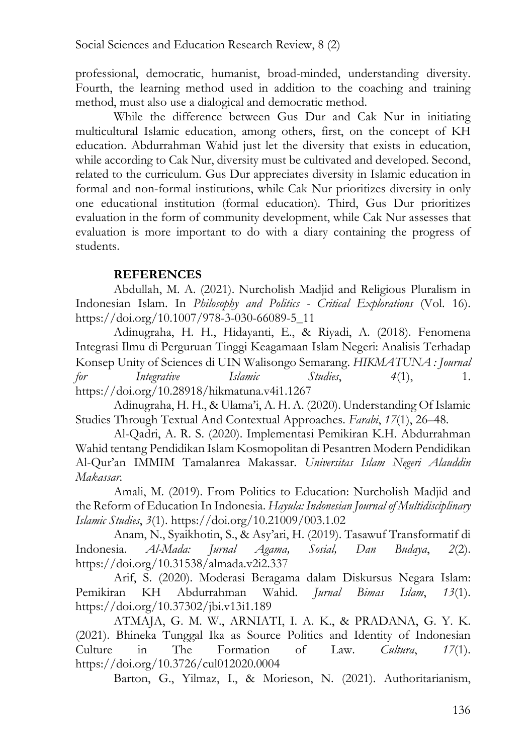professional, democratic, humanist, broad-minded, understanding diversity. Fourth, the learning method used in addition to the coaching and training method, must also use a dialogical and democratic method.

While the difference between Gus Dur and Cak Nur in initiating multicultural Islamic education, among others, first, on the concept of KH education. Abdurrahman Wahid just let the diversity that exists in education, while according to Cak Nur, diversity must be cultivated and developed. Second, related to the curriculum. Gus Dur appreciates diversity in Islamic education in formal and non-formal institutions, while Cak Nur prioritizes diversity in only one educational institution (formal education). Third, Gus Dur prioritizes evaluation in the form of community development, while Cak Nur assesses that evaluation is more important to do with a diary containing the progress of students.

#### **REFERENCES**

Abdullah, M. A. (2021). Nurcholish Madjid and Religious Pluralism in Indonesian Islam. In *Philosophy and Politics - Critical Explorations* (Vol. 16). https://doi.org/10.1007/978-3-030-66089-5\_11

Adinugraha, H. H., Hidayanti, E., & Riyadi, A. (2018). Fenomena Integrasi Ilmu di Perguruan Tinggi Keagamaan Islam Negeri: Analisis Terhadap Konsep Unity of Sciences di UIN Walisongo Semarang. *HIKMATUNA : Journal for Integrative Islamic Studies*, *4*(1), 1. https://doi.org/10.28918/hikmatuna.v4i1.1267

Adinugraha, H. H., & Ulama'i, A. H. A. (2020). Understanding Of Islamic Studies Through Textual And Contextual Approaches. *Farabi*, *17*(1), 26–48.

Al-Qadri, A. R. S. (2020). Implementasi Pemikiran K.H. Abdurrahman Wahid tentang Pendidikan Islam Kosmopolitan di Pesantren Modern Pendidikan Al-Qur'an IMMIM Tamalanrea Makassar. *Universitas Islam Negeri Alauddin Makassar*.

Amali, M. (2019). From Politics to Education: Nurcholish Madjid and the Reform of Education In Indonesia. *Hayula: Indonesian Journal of Multidisciplinary Islamic Studies*, *3*(1). https://doi.org/10.21009/003.1.02

Anam, N., Syaikhotin, S., & Asy'ari, H. (2019). Tasawuf Transformatif di Indonesia. *Al-Mada: Jurnal Agama, Sosial, Dan Budaya*, *2*(2). https://doi.org/10.31538/almada.v2i2.337

Arif, S. (2020). Moderasi Beragama dalam Diskursus Negara Islam: Pemikiran KH Abdurrahman Wahid. *Jurnal Bimas Islam*, *13*(1). https://doi.org/10.37302/jbi.v13i1.189

ATMAJA, G. M. W., ARNIATI, I. A. K., & PRADANA, G. Y. K. (2021). Bhineka Tunggal Ika as Source Politics and Identity of Indonesian Culture in The Formation of Law. *Cultura*, *17*(1). https://doi.org/10.3726/cul012020.0004

Barton, G., Yilmaz, I., & Morieson, N. (2021). Authoritarianism,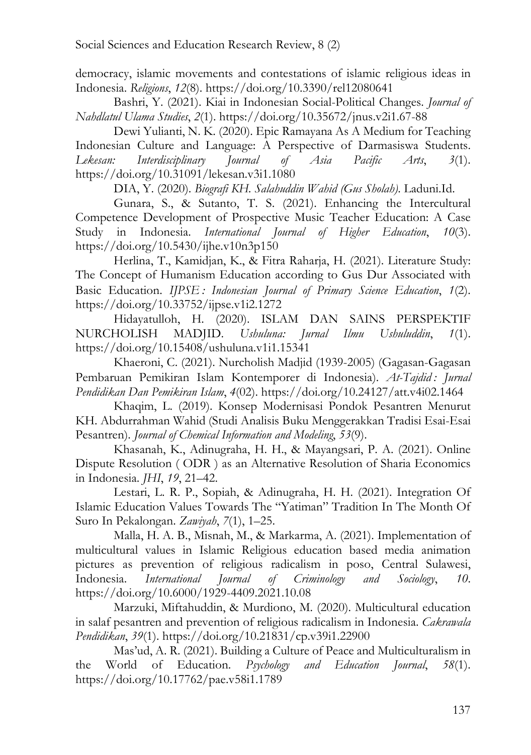democracy, islamic movements and contestations of islamic religious ideas in Indonesia. *Religions*, *12*(8). https://doi.org/10.3390/rel12080641

Bashri, Y. (2021). Kiai in Indonesian Social-Political Changes. *Journal of Nahdlatul Ulama Studies*, *2*(1). https://doi.org/10.35672/jnus.v2i1.67-88

Dewi Yulianti, N. K. (2020). Epic Ramayana As A Medium for Teaching Indonesian Culture and Language: A Perspective of Darmasiswa Students. *Lekesan: Interdisciplinary Journal of Asia Pacific Arts*, *3*(1). https://doi.org/10.31091/lekesan.v3i1.1080

DIA, Y. (2020). *Biografi KH. Salahuddin Wahid (Gus Sholah)*. Laduni.Id.

Gunara, S., & Sutanto, T. S. (2021). Enhancing the Intercultural Competence Development of Prospective Music Teacher Education: A Case Study in Indonesia. *International Journal of Higher Education*, *10*(3). https://doi.org/10.5430/ijhe.v10n3p150

Herlina, T., Kamidjan, K., & Fitra Raharja, H. (2021). Literature Study: The Concept of Humanism Education according to Gus Dur Associated with Basic Education. *IJPSE : Indonesian Journal of Primary Science Education*, *1*(2). https://doi.org/10.33752/ijpse.v1i2.1272

Hidayatulloh, H. (2020). ISLAM DAN SAINS PERSPEKTIF NURCHOLISH MADJID. *Ushuluna: Jurnal Ilmu Ushuluddin*, *1*(1). https://doi.org/10.15408/ushuluna.v1i1.15341

Khaeroni, C. (2021). Nurcholish Madjid (1939-2005) (Gagasan-Gagasan Pembaruan Pemikiran Islam Kontemporer di Indonesia). *At-Tajdid : Jurnal Pendidikan Dan Pemikiran Islam*, *4*(02). https://doi.org/10.24127/att.v4i02.1464

Khaqim, L. (2019). Konsep Modernisasi Pondok Pesantren Menurut KH. Abdurrahman Wahid (Studi Analisis Buku Menggerakkan Tradisi Esai-Esai Pesantren). *Journal of Chemical Information and Modeling*, *53*(9).

Khasanah, K., Adinugraha, H. H., & Mayangsari, P. A. (2021). Online Dispute Resolution ( ODR ) as an Alternative Resolution of Sharia Economics in Indonesia. *JHI*, *19*, 21–42.

Lestari, L. R. P., Sopiah, & Adinugraha, H. H. (2021). Integration Of Islamic Education Values Towards The "Yatiman" Tradition In The Month Of Suro In Pekalongan. *Zawiyah*, *7*(1), 1–25.

Malla, H. A. B., Misnah, M., & Markarma, A. (2021). Implementation of multicultural values in Islamic Religious education based media animation pictures as prevention of religious radicalism in poso, Central Sulawesi, Indonesia. *International Journal of Criminology and Sociology*, *10*. https://doi.org/10.6000/1929-4409.2021.10.08

Marzuki, Miftahuddin, & Murdiono, M. (2020). Multicultural education in salaf pesantren and prevention of religious radicalism in Indonesia. *Cakrawala Pendidikan*, *39*(1). https://doi.org/10.21831/cp.v39i1.22900

Mas'ud, A. R. (2021). Building a Culture of Peace and Multiculturalism in the World of Education. *Psychology and Education Journal*, *58*(1). https://doi.org/10.17762/pae.v58i1.1789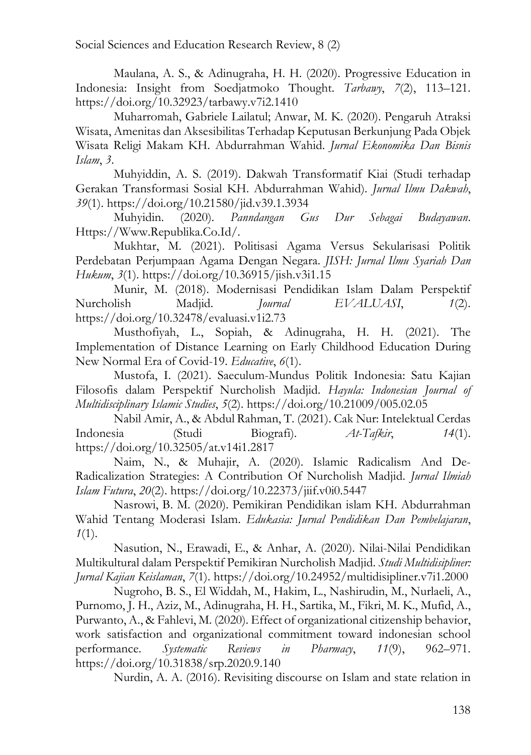Maulana, A. S., & Adinugraha, H. H. (2020). Progressive Education in Indonesia: Insight from Soedjatmoko Thought. *Tarbawy*, *7*(2), 113–121. https://doi.org/10.32923/tarbawy.v7i2.1410

Muharromah, Gabriele Lailatul; Anwar, M. K. (2020). Pengaruh Atraksi Wisata, Amenitas dan Aksesibilitas Terhadap Keputusan Berkunjung Pada Objek Wisata Religi Makam KH. Abdurrahman Wahid. *Jurnal Ekonomika Dan Bisnis Islam*, *3*.

Muhyiddin, A. S. (2019). Dakwah Transformatif Kiai (Studi terhadap Gerakan Transformasi Sosial KH. Abdurrahman Wahid). *Jurnal Ilmu Dakwah*, *39*(1). https://doi.org/10.21580/jid.v39.1.3934

Muhyidin. (2020). *Panndangan Gus Dur Sebagai Budayawan*. Https://Www.Republika.Co.Id/.

Mukhtar, M. (2021). Politisasi Agama Versus Sekularisasi Politik Perdebatan Perjumpaan Agama Dengan Negara. *JISH: Jurnal Ilmu Syariah Dan Hukum*, *3*(1). https://doi.org/10.36915/jish.v3i1.15

Munir, M. (2018). Modernisasi Pendidikan Islam Dalam Perspektif Nurcholish Madjid. *Journal EVALUASI*, *1*(2). https://doi.org/10.32478/evaluasi.v1i2.73

Musthofiyah, L., Sopiah, & Adinugraha, H. H. (2021). The Implementation of Distance Learning on Early Childhood Education During New Normal Era of Covid-19. *Educative*, *6*(1).

Mustofa, I. (2021). Saeculum-Mundus Politik Indonesia: Satu Kajian Filosofis dalam Perspektif Nurcholish Madjid. *Hayula: Indonesian Journal of Multidisciplinary Islamic Studies*, *5*(2). https://doi.org/10.21009/005.02.05

Nabil Amir, A., & Abdul Rahman, T. (2021). Cak Nur: Intelektual Cerdas Indonesia (Studi Biografi). *At-Tafkir*, *14*(1). https://doi.org/10.32505/at.v14i1.2817

Naim, N., & Muhajir, A. (2020). Islamic Radicalism And De-Radicalization Strategies: A Contribution Of Nurcholish Madjid. *Jurnal Ilmiah Islam Futura*, *20*(2). https://doi.org/10.22373/jiif.v0i0.5447

Nasrowi, B. M. (2020). Pemikiran Pendidikan islam KH. Abdurrahman Wahid Tentang Moderasi Islam. *Edukasia: Jurnal Pendidikan Dan Pembelajaran*, *1*(1).

Nasution, N., Erawadi, E., & Anhar, A. (2020). Nilai-Nilai Pendidikan Multikultural dalam Perspektif Pemikiran Nurcholish Madjid. *Studi Multidisipliner: Jurnal Kajian Keislaman*, *7*(1). https://doi.org/10.24952/multidisipliner.v7i1.2000

Nugroho, B. S., El Widdah, M., Hakim, L., Nashirudin, M., Nurlaeli, A., Purnomo, J. H., Aziz, M., Adinugraha, H. H., Sartika, M., Fikri, M. K., Mufid, A., Purwanto, A., & Fahlevi, M. (2020). Effect of organizational citizenship behavior, work satisfaction and organizational commitment toward indonesian school performance. *Systematic Reviews in Pharmacy*, *11*(9), 962–971. https://doi.org/10.31838/srp.2020.9.140

Nurdin, A. A. (2016). Revisiting discourse on Islam and state relation in